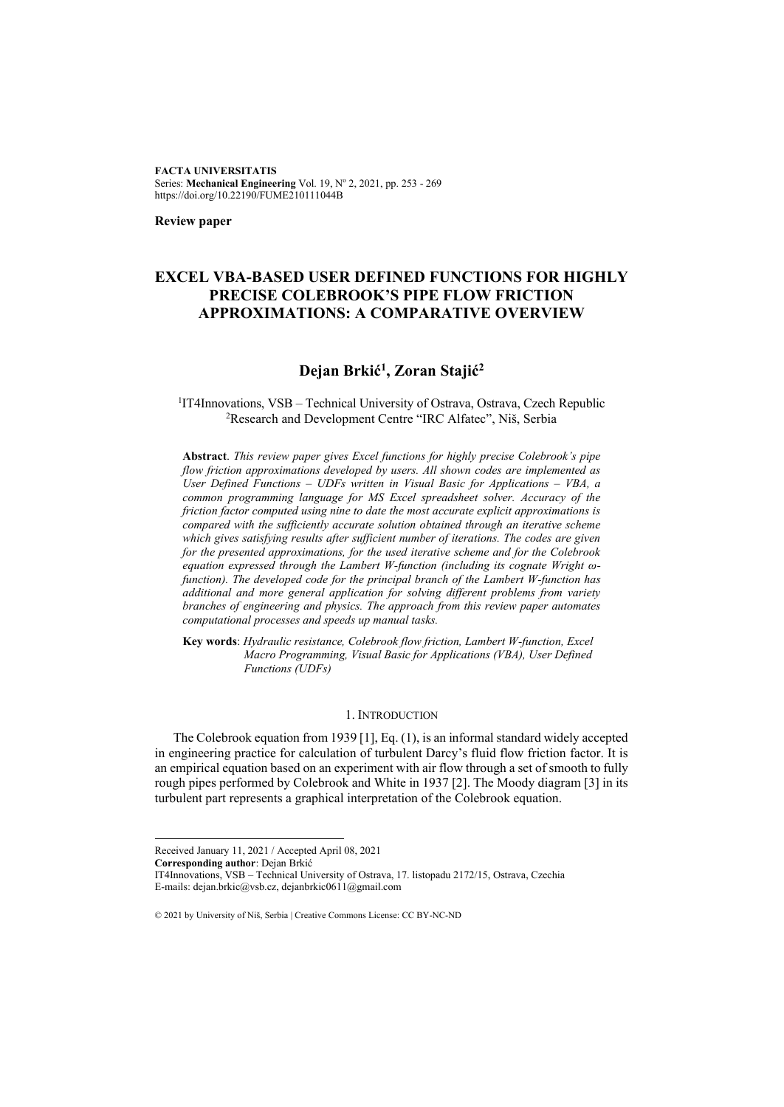**FACTA UNIVERSITATIS** Series: Mechanical Engineering Vol. 19, Nº 2, 2021, pp. 253 - 269 https://doi.org/10.22190/FUME210111044B

**Review paper**

# **EXCEL VBA-BASED USER DEFINED FUNCTIONS FOR HIGHLY PRECISE COLEBROOK'S PIPE FLOW FRICTION APPROXIMATIONS: A COMPARATIVE OVERVIEW**

# **Dejan Brkić 1 , Zoran Stajić<sup>2</sup>**

<sup>1</sup>IT4Innovations, VSB - Technical University of Ostrava, Ostrava, Czech Republic <sup>2</sup>Research and Development Centre "IRC Alfatec", Niš, Serbia

**Abstract**. *This review paper gives Excel functions for highly precise Colebrook's pipe flow friction approximations developed by users. All shown codes are implemented as User Defined Functions – UDFs written in Visual Basic for Applications – VBA, a common programming language for MS Excel spreadsheet solver. Accuracy of the friction factor computed using nine to date the most accurate explicit approximations is compared with the sufficiently accurate solution obtained through an iterative scheme which gives satisfying results after sufficient number of iterations. The codes are given for the presented approximations, for the used iterative scheme and for the Colebrook equation expressed through the Lambert W-function (including its cognate Wright ωfunction). The developed code for the principal branch of the Lambert W-function has additional and more general application for solving different problems from variety branches of engineering and physics. The approach from this review paper automates computational processes and speeds up manual tasks.* 

**Key words**: *Hydraulic resistance, Colebrook flow friction, Lambert W-function, Excel Macro Programming, Visual Basic for Applications (VBA), User Defined Functions (UDFs)* 

# 1. INTRODUCTION

The Colebrook equation from 1939 [1], Eq. (1), is an informal standard widely accepted in engineering practice for calculation of turbulent Darcy's fluid flow friction factor. It is an empirical equation based on an experiment with air flow through a set of smooth to fully rough pipes performed by Colebrook and White in 1937 [2]. The Moody diagram [3] in its turbulent part represents a graphical interpretation of the Colebrook equation.

**Corresponding author**: Dejan Brkić

Received January 11, 2021 / Accepted April 08, 2021

IT4Innovations, VSB – Technical University of Ostrava, 17. listopadu 2172/15, Ostrava, Czechia E-mails: dejan.brkic@vsb.cz, dejanbrkic0611@gmail.com

<sup>© 2021</sup> by University of Niš, Serbia | Creative Commons License: CC BY-NC-ND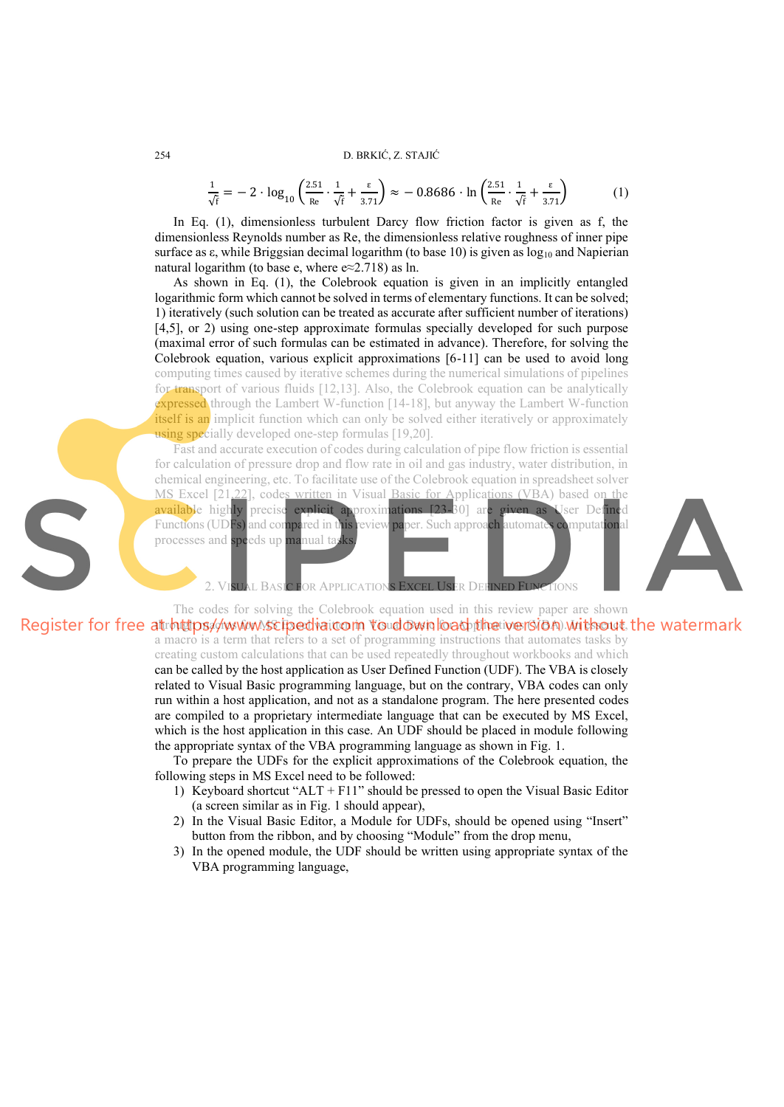$$
\frac{1}{\sqrt{f}} = -2 \cdot \log_{10} \left( \frac{2.51}{\text{Re}} \cdot \frac{1}{\sqrt{f}} + \frac{\epsilon}{3.71} \right) \approx -0.8686 \cdot \ln \left( \frac{2.51}{\text{Re}} \cdot \frac{1}{\sqrt{f}} + \frac{\epsilon}{3.71} \right) \tag{1}
$$

In Eq. (1), dimensionless turbulent Darcy flow friction factor is given as f, the dimensionless Reynolds number as Re, the dimensionless relative roughness of inner pipe surface as  $\varepsilon$ , while Briggsian decimal logarithm (to base 10) is given as  $\log_{10}$  and Napierian natural logarithm (to base e, where  $e \approx 2.718$ ) as ln.

As shown in Eq. (1), the Colebrook equation is given in an implicitly entangled logarithmic form which cannot be solved in terms of elementary functions. It can be solved; 1) iteratively (such solution can be treated as accurate after sufficient number of iterations) [4,5], or 2) using one-step approximate formulas specially developed for such purpose (maximal error of such formulas can be estimated in advance). Therefore, for solving the Colebrook equation, various explicit approximations [6-11] can be used to avoid long computing times caused by iterative schemes during the numerical simulations of pipelines for transport of various fluids [12,13]. Also, the Colebrook equation can be analytically expressed through the Lambert W-function [14-18], but anyway the Lambert W-function itself is an implicit function which can only be solved either iteratively or approximately using specially developed one-step formulas [19,20].

Fast and accurate execution of codes during calculation of pipe flow friction is essential for calculation of pressure drop and flow rate in oil and gas industry, water distribution, in chemical engineering, etc. To facilitate use of the Colebrook equation in spreadsheet solver MS Excel [21,22], codes written in Visual Basic for Applications (VBA) based on the available highly precise explicit approximations [23-30] are given as User Defined Functions (UDFs) and compared in this review paper. Such approach automates computational processes and speeds up manual ta

JAL BASIC FOR APPLICATIONS EXCEL USER DEFINED FUNCTIONS

The codes for solving the Colebrook equation used in this review paper are shown Register for free at  $h$ through and  $\ell$  we also the distribution of  $\ell$  is a found with  $\ell$  and  $\ell$ , the watermark a macro is a term that refers to a set of programming instructions that automates tasks by creating custom calculations that can be used repeatedly throughout workbooks and which can be called by the host application as User Defined Function (UDF). The VBA is closely related to Visual Basic programming language, but on the contrary, VBA codes can only run within a host application, and not as a standalone program. The here presented codes are compiled to a proprietary intermediate language that can be executed by MS Excel, which is the host application in this case. An UDF should be placed in module following the appropriate syntax of the VBA programming language as shown in Fig. 1.

To prepare the UDFs for the explicit approximations of the Colebrook equation, the following steps in MS Excel need to be followed:

- 1) Keyboard shortcut "ALT + F11" should be pressed to open the Visual Basic Editor (a screen similar as in Fig. 1 should appear),
- 2) In the Visual Basic Editor, a Module for UDFs, should be opened using "Insert" button from the ribbon, and by choosing "Module" from the drop menu,
- 3) In the opened module, the UDF should be written using appropriate syntax of the VBA programming language,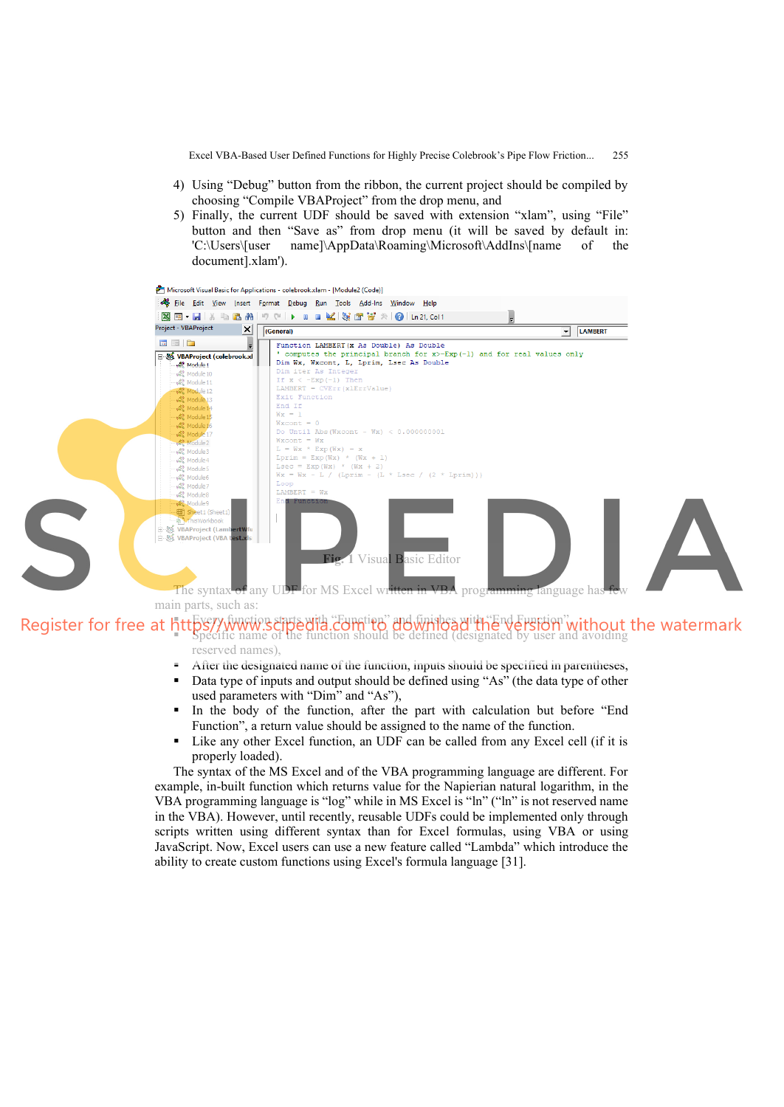- 4) Using "Debug" button from the ribbon, the current project should be compiled by choosing "Compile VBAProject" from the drop menu, and
- 5) Finally, the current UDF should be saved with extension "xlam", using "File" button and then "Save as" from drop menu (it will be saved by default in: 'C:\Users\[user name]\AppData\Roaming\Microsoft\AddIns\[name of the document].xlam').



- Every function starts with "Function" and finishes with "End Function", ■ Specific name of the function should be defined (designated by user and avoiding reserved names),
	- After the designated name of the function, inputs should be specified in parentheses,
	- Data type of inputs and output should be defined using "As" (the data type of other used parameters with "Dim" and "As"),
	- In the body of the function, after the part with calculation but before "End Function", a return value should be assigned to the name of the function.
	- Like any other Excel function, an UDF can be called from any Excel cell (if it is properly loaded).

The syntax of the MS Excel and of the VBA programming language are different. For example, in-built function which returns value for the Napierian natural logarithm, in the VBA programming language is "log" while in MS Excel is "ln" ("ln" is not reserved name in the VBA). However, until recently, reusable UDFs could be implemented only through scripts written using different syntax than for Excel formulas, using VBA or using JavaScript. Now, Excel users can use a new feature called "Lambda" which introduce the ability to create custom functions using Excel's formula language [31].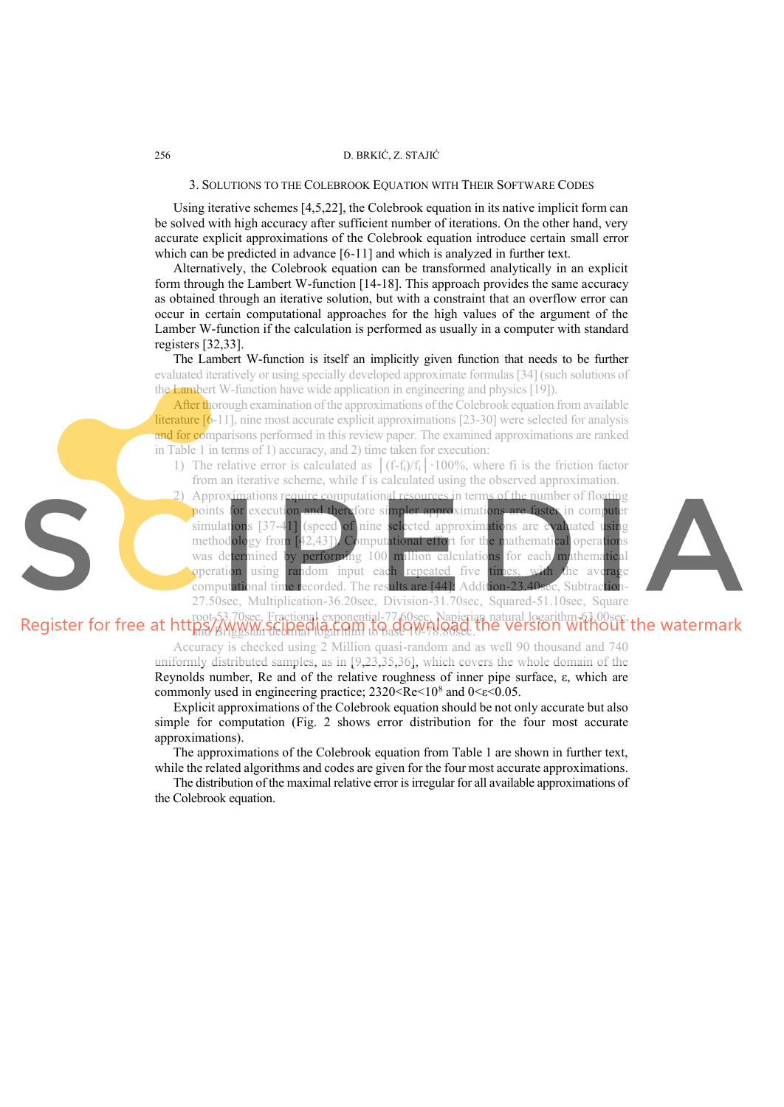#### 256 D. BRKIĆ, Z. STAJIĆ

### 3. SOLUTIONS TO THE COLEBROOK EQUATION WITH THEIR SOFTWARE CODES

Using iterative schemes [4,5,22], the Colebrook equation in its native implicit form can be solved with high accuracy after sufficient number of iterations. On the other hand, very accurate explicit approximations of the Colebrook equation introduce certain small error which can be predicted in advance [6-11] and which is analyzed in further text.

Alternatively, the Colebrook equation can be transformed analytically in an explicit form through the Lambert W-function [14-18]. This approach provides the same accuracy as obtained through an iterative solution, but with a constraint that an overflow error can occur in certain computational approaches for the high values of the argument of the Lamber W-function if the calculation is performed as usually in a computer with standard registers [32,33].

The Lambert W-function is itself an implicitly given function that needs to be further evaluated iteratively or using specially developed approximate formulas [34] (such solutions of the Lambert W-function have wide application in engineering and physics [19]).

After thorough examination of the approximations of the Colebrook equation from available literature [6-11], nine most accurate explicit approximations [23-30] were selected for analysis and for comparisons performed in this review paper. The examined approximations are ranked in Table 1 in terms of 1) accuracy, and 2) time taken for execution:

- 1) The relative error is calculated as  $|(f-f_i)/f_i| \cdot 100\%$ , where fi is the friction factor from an iterative scheme, while f is calculated using the observed approximation.
- 2) Approximations require computational resources in terms of the number of floating points for execution and therefore simpler approximations are faster in computer simulations [37-41] (speed of nine selected approximations are evaluated using methodology from [42,43]). Computational effort for the mathematical operations was determined by performing 100 million calculations for each mathematical **operation** using random input each repeated five times, with the average computational time recorded. The results are [44]: Addition-23.40sec, Subtraction 27.50sec, Multiplication-36.20sec, Division-31.70sec, Squared-51.10sec, Square



## root-53.70sec, Fractional exponential-77.60sec, Napierian natural logarithm-63.00sec, and Briggsian decimal logarithm to base 10-78.80sec.

Accuracy is checked using 2 Million quasi-random and as well 90 thousand and 740 uniformly distributed samples, as in [9,23,35,36], which covers the whole domain of the Reynolds number, Re and of the relative roughness of inner pipe surface, ε, which are commonly used in engineering practice; 2320<Re<10<sup>8</sup> and 0<ε<0.05.

Explicit approximations of the Colebrook equation should be not only accurate but also simple for computation (Fig. 2 shows error distribution for the four most accurate approximations).

The approximations of the Colebrook equation from Table 1 are shown in further text, while the related algorithms and codes are given for the four most accurate approximations.

The distribution of the maximal relative error is irregular for all available approximations of the Colebrook equation.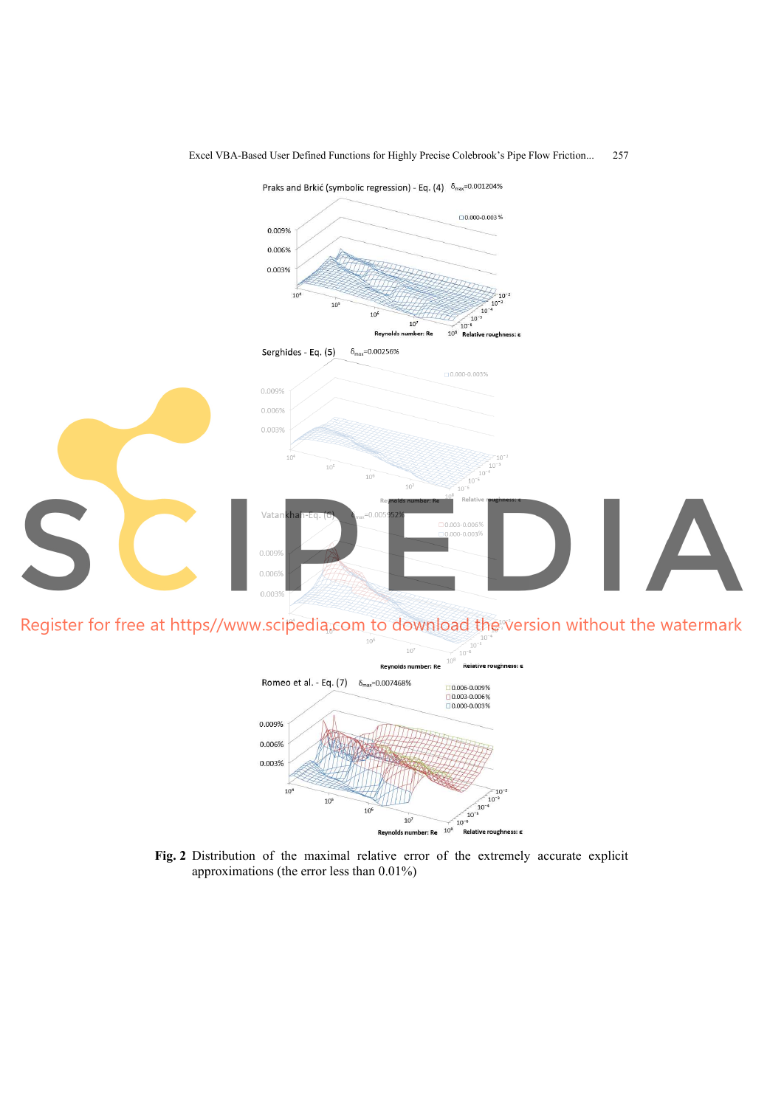

Register for free at https//www.scipedia.com to download the version without the watermark  $10<sup>1</sup>$ 



**Fig. 2** Distribution of the maximal relative error of the extremely accurate explicit approximations (the error less than 0.01%)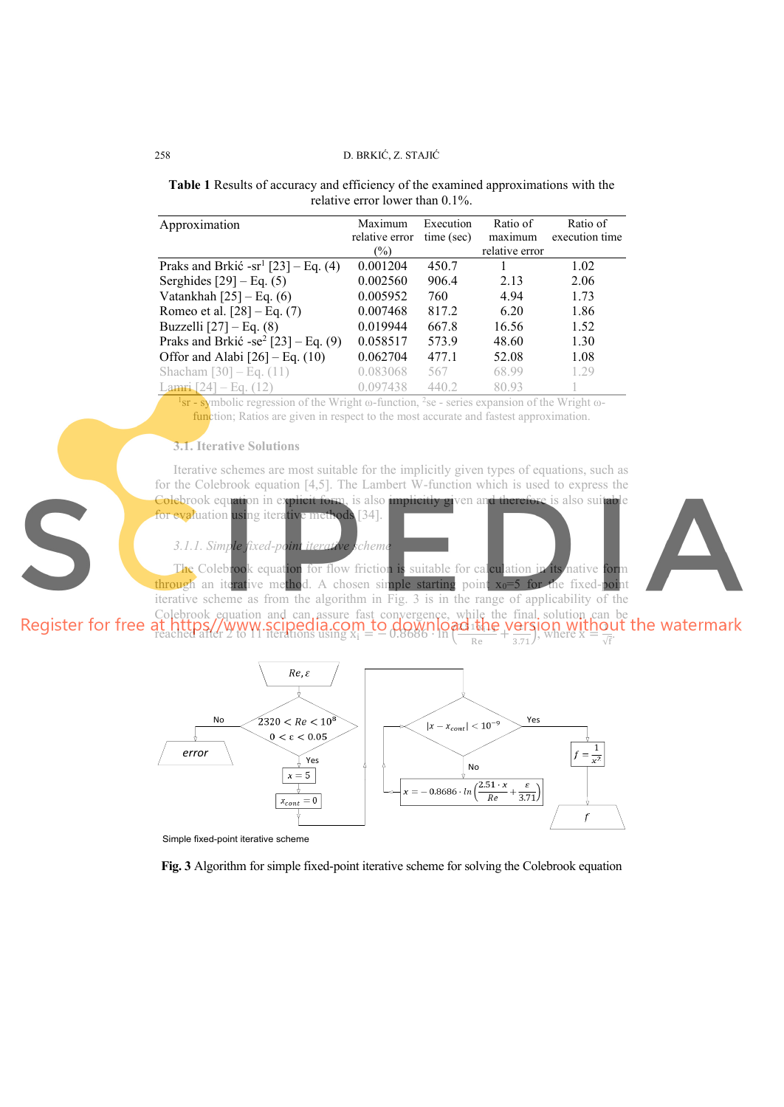# 258 D. BRKIĆ, Z. STAJIĆ

**Table 1** Results of accuracy and efficiency of the examined approximations with the relative error lower than 0.1%.

| Approximation                                   | Maximum<br>relative error | Execution<br>time (sec) | Ratio of<br>maximum | Ratio of<br>execution time |
|-------------------------------------------------|---------------------------|-------------------------|---------------------|----------------------------|
|                                                 | $\binom{0}{0}$            |                         | relative error      |                            |
| Praks and Brkić -sr <sup>1</sup> [23] – Eq. (4) | 0.001204                  | 450.7                   |                     | 1.02                       |
| Serghides $[29]$ – Eq. (5)                      | 0.002560                  | 906.4                   | 2.13                | 2.06                       |
| Vatankhah $[25]$ – Eq. (6)                      | 0.005952                  | 760                     | 4.94                | 1.73                       |
| Romeo et al. $[28]$ – Eq. (7)                   | 0.007468                  | 817.2                   | 6.20                | 1.86                       |
| Buzzelli $[27]$ – Eq. (8)                       | 0.019944                  | 667.8                   | 16.56               | 1.52                       |
| Praks and Brkić -se <sup>2</sup> [23] – Eq. (9) | 0.058517                  | 573.9                   | 48.60               | 1.30                       |
| Offor and Alabi $[26]$ – Eq. (10)               | 0.062704                  | 477.1                   | 52.08               | 1.08                       |
| Shacham $[30] - Eq. (11)$                       | 0.083068                  | 567                     | 68.99               | 1.29                       |
| Lamri [24] – Eq. $(12)$                         | 0.097438                  | 440.2                   | 8093                |                            |

<sup>1</sup>sr - symbolic regression of the Wright ω-function, <sup>2</sup>se - series expansion of the Wright ωfunction; Ratios are given in respect to the most accurate and fastest approximation.

### **3.1. Iterative Solutions**

Iterative schemes are most suitable for the implicitly given types of equations, such as for the Colebrook equation [4,5]. The Lambert W-function which is used to express the Colebrook equation in explicit form, is also *implicitly given and therefore* is also suit for evaluation using iterative methods [34].

*3.1.1. Simple fixed-point iterative scheme* 



The Colebrook equation for flow friction is suitable for calculation in its native form through an iterative method. A chosen simple starting point  $x_0=5$  for the fixed-point iterative scheme as from the algorithm in Fig. 3 is in the range of applicability of the Colebrook equation and can assure fast convergence, while the final solution can be

**reached after 2 to 11 iterations using**  $x_i = -0.8686 \cdot \ln \left( \frac{m \pi x_i \log n}{\log n} \right)$  $\frac{1}{R}$   $\frac{1}{R}$   $\frac{1}{2}$   $\frac{1}{2}$   $\frac{1}{2}$   $\frac{1}{2}$   $\frac{1}{2}$  where  $X = \frac{1}{\sqrt{f}}$ .



Simple fixed-point iterative scheme

**Fig. 3** Algorithm for simple fixed-point iterative scheme for solving the Colebrook equation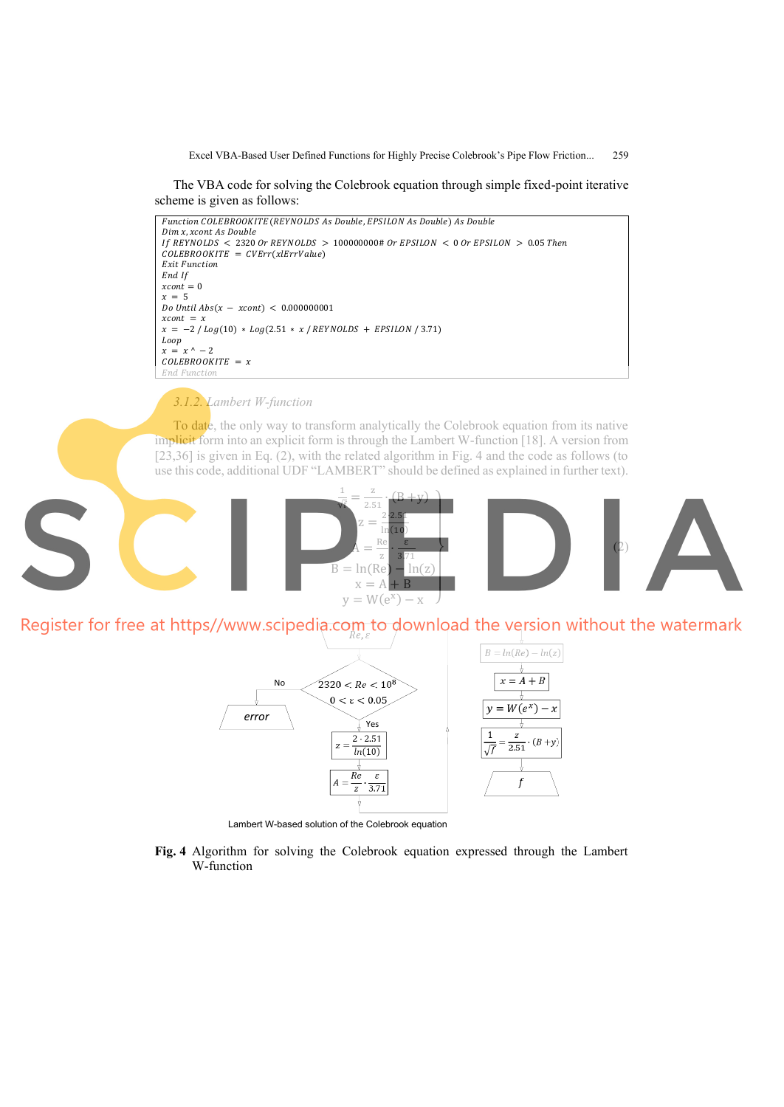The VBA code for solving the Colebrook equation through simple fixed-point iterative scheme is given as follows:



*3.1.2. Lambert W-function* 

To date, the only way to transform analytically the Colebrook equation from its native implicit form into an explicit form is through the Lambert W-function [18]. A version from [23,36] is given in Eq. (2), with the related algorithm in Fig. 4 and the code as follows (to use this code, additional UDF "LAMBERT" should be defined as explained in further text).



Register for free at https//www.scipedia.com to download the version without the watermark Re. ε



Lambert W-based solution of the Colebrook equation

**Fig. 4** Algorithm for solving the Colebrook equation expressed through the Lambert W-function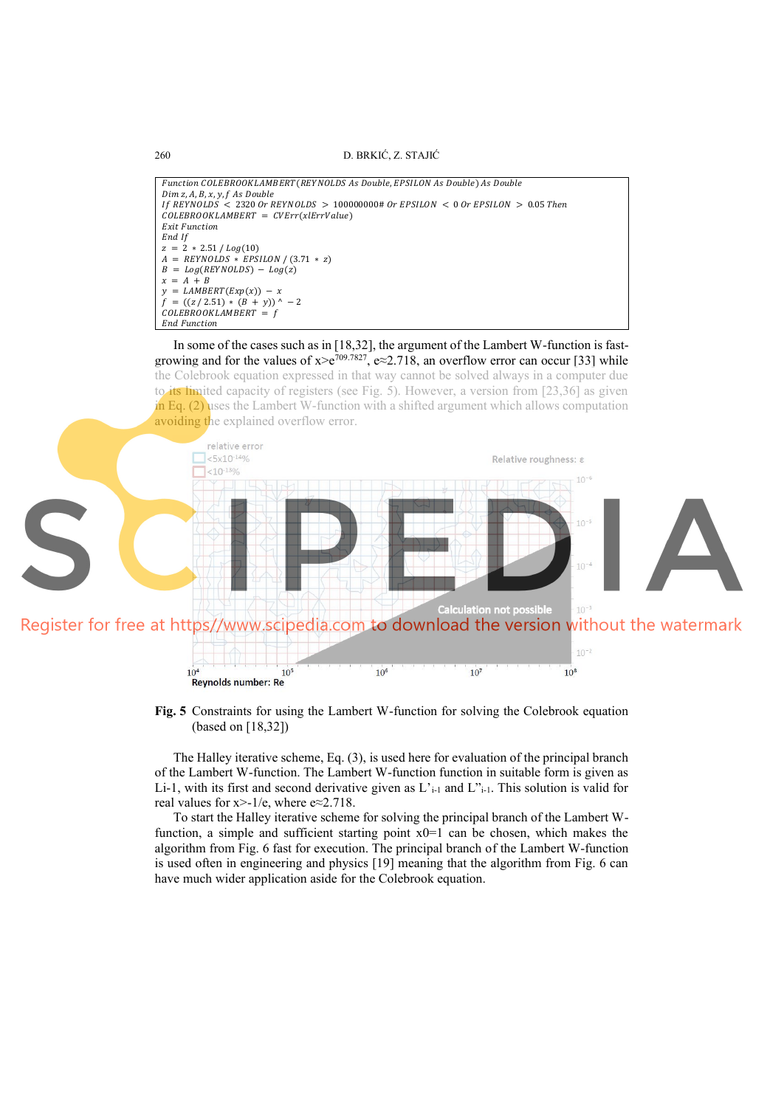260 D. BRKIĆ, Z. STAJIĆ

```
Function COLEBROOKLAMBERT (REYNOLDS As Double, EPSILON As Double) As Double
Dim z, A, B, x, y, f As DoubleIf REYNOLDS \leq 2320 Or REYNOLDS > 100000000# Or EPSILON < 0 Or EPSILON > 0.05 Then
\textit{COLEBROOKLAMBERT} = \textit{CVErr(xlErrValue)}Exit Function<br>End If
End If
z = 2 * 2.51 / Log(10)A = R EY NULDS * EPSI LON / (3.71 * z)B = Log(REYNOLDS) - Log(z)x = A + By = LAMBERT(Exp(x)) – x
f = ((z / 2.51) * (B + y)) ^ − 2
\mathcal{L}OLEBROOKLAMBERT = fEnd Function
```
In some of the cases such as in [18,32], the argument of the Lambert W-function is fastgrowing and for the values of  $x>e^{709.7827}$ ,  $e \approx 2.718$ , an overflow error can occur [33] while the Colebrook equation expressed in that way cannot be solved always in a computer due to its limited capacity of registers (see Fig. 5). However, a version from [23,36] as given in Eq.  $(2)$  uses the Lambert W-function with a shifted argument which allows computation avoiding the explained overflow error.



**Fig. 5** Constraints for using the Lambert W-function for solving the Colebrook equation (based on [18,32])

The Halley iterative scheme, Eq. (3), is used here for evaluation of the principal branch of the Lambert W-function. The Lambert W-function function in suitable form is given as Li-1, with its first and second derivative given as  $L$ <sup>1</sup><sub>i-1</sub> and  $L$ <sup>2</sup><sub>i-1</sub>. This solution is valid for real values for  $x > -1/e$ , where  $e \approx 2.718$ .

To start the Halley iterative scheme for solving the principal branch of the Lambert Wfunction, a simple and sufficient starting point  $x0=1$  can be chosen, which makes the algorithm from Fig. 6 fast for execution. The principal branch of the Lambert W-function is used often in engineering and physics [19] meaning that the algorithm from Fig. 6 can have much wider application aside for the Colebrook equation.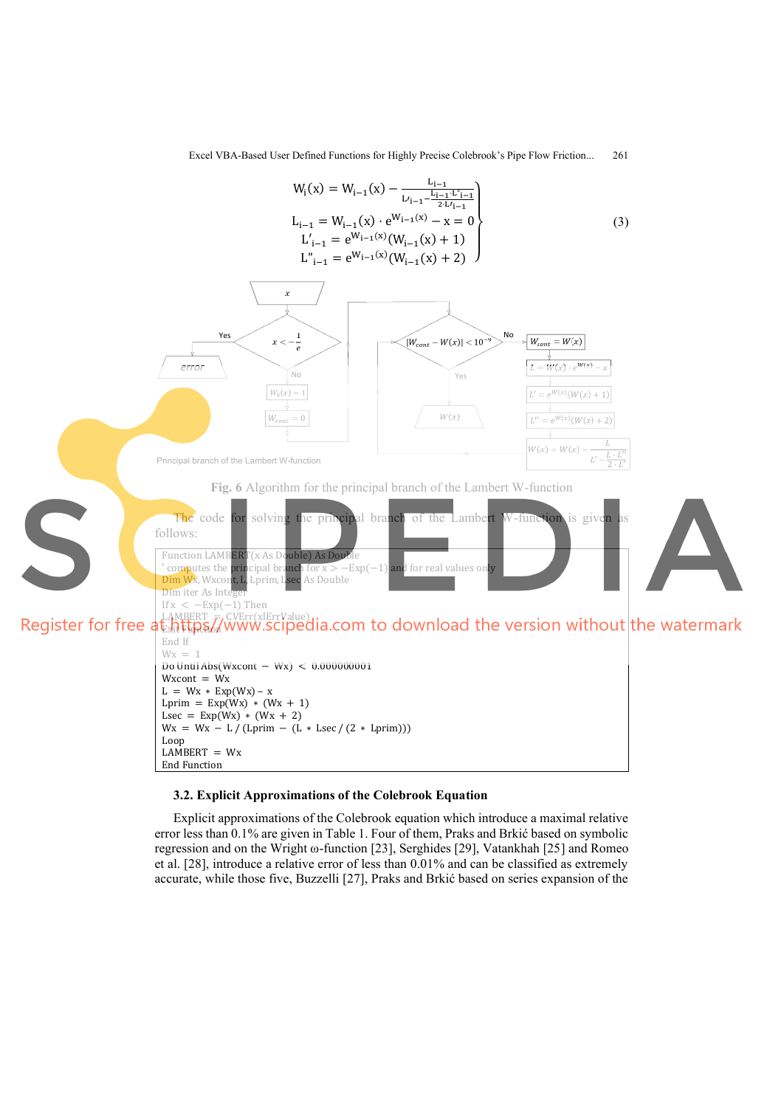

### **3.2. Explicit Approximations of the Colebrook Equation**

Explicit approximations of the Colebrook equation which introduce a maximal relative error less than 0.1% are given in Table 1. Four of them, Praks and Brkić based on symbolic regression and on the Wright ω-function [23], Serghides [29], Vatankhah [25] and Romeo et al. [28], introduce a relative error of less than 0.01% and can be classified as extremely accurate, while those five, Buzzelli [27], Praks and Brkić based on series expansion of the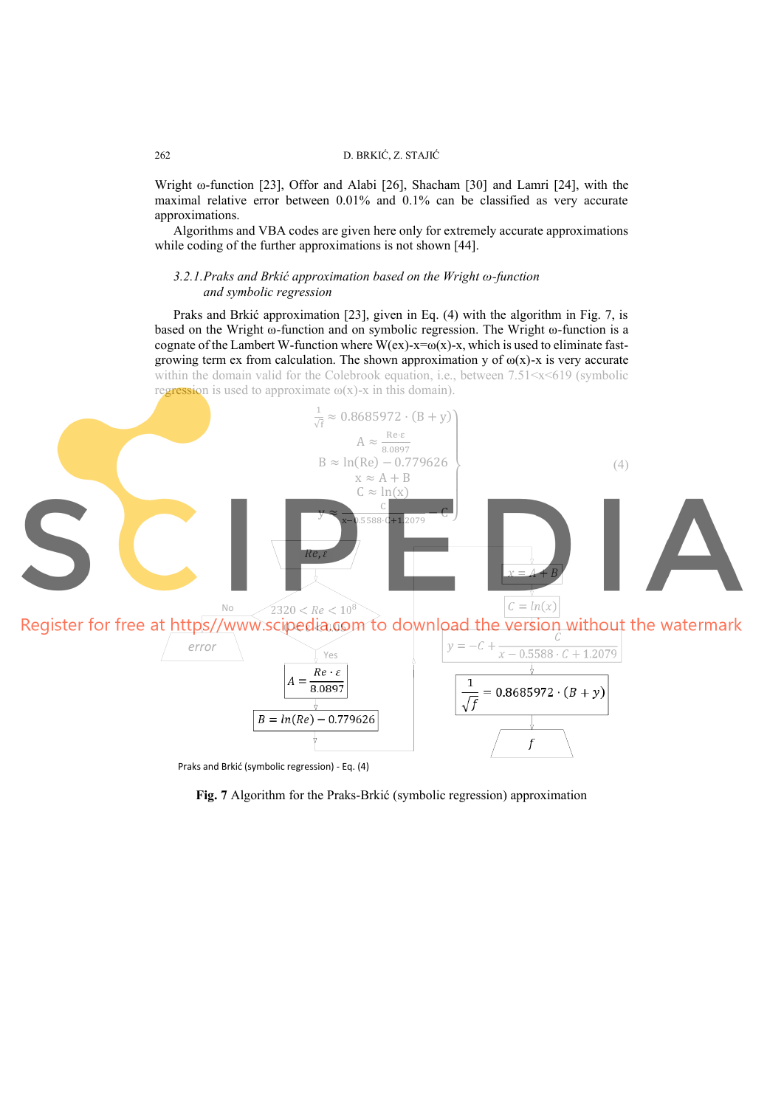Wright ω-function [23], Offor and Alabi [26], Shacham [30] and Lamri [24], with the maximal relative error between 0.01% and 0.1% can be classified as very accurate approximations.

Algorithms and VBA codes are given here only for extremely accurate approximations while coding of the further approximations is not shown [44].

## *3.2.1. Praks and Brkić approximation based on the Wright ω-function and symbolic regression*

Praks and Brkić approximation [23], given in Eq. (4) with the algorithm in Fig. 7, is based on the Wright ω-function and on symbolic regression. The Wright ω-function is a cognate of the Lambert W-function where W(ex)-x= $\omega(x)$ -x, which is used to eliminate fastgrowing term ex from calculation. The shown approximation y of  $\omega(x)$ -x is very accurate within the domain valid for the Colebrook equation, i.e., between  $7.51 \times x \times 619$  (symbolic regression is used to approximate  $\omega(x)$ -x in this domain).



Praks and Brkić (symbolic regression) - Eq. (4)

**Fig. 7** Algorithm for the Praks-Brkić (symbolic regression) approximation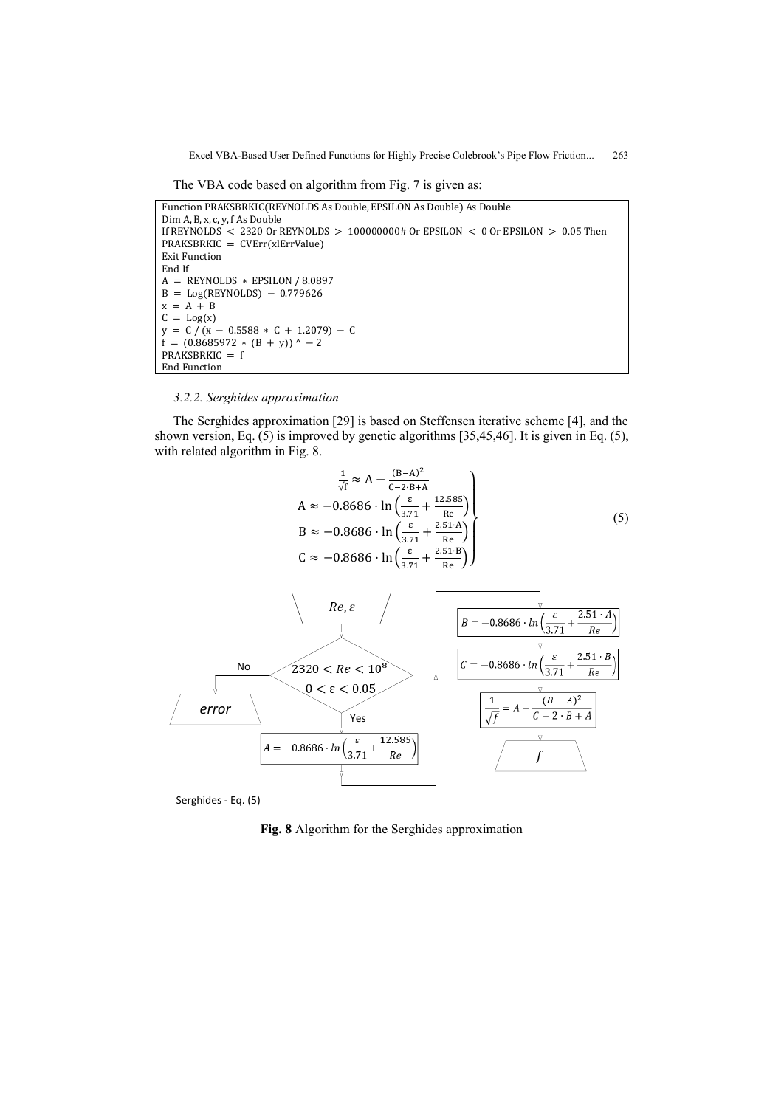The VBA code based on algorithm from Fig. 7 is given as:

```
Function PRAKSBRKIC(REYNOLDS As Double, EPSILON As Double) As Double
Dim A, B, x, c, y, f As Double
If REYNOLDS < 2320 Or REYNOLDS > 100000000# Or EPSILON < 0 Or EPSILON > 0.05 Then
PRAKSBRKIC = CVErr(xlErrValue)
Exit Function
End If
A = REYNOLDS * EPSILON / 8.0897
B = Log(REYNOLDS) - 0.779626x = A + BC = Log(x)y = C/(x - 0.5588 \times C + 1.2079) - Cf = (0.8685972 * (B + y))^{\wedge} - 2PRAKSBRKIC = fEnd Function
```
### *3.2.2. Serghides approximation*

The Serghides approximation [29] is based on Steffensen iterative scheme [4], and the shown version, Eq. (5) is improved by genetic algorithms [35,45,46]. It is given in Eq. (5), with related algorithm in Fig. 8.

$$
\frac{1}{\sqrt{t}} \approx A - \frac{(B-A)^2}{C-2 \cdot B+A}
$$
  
\n
$$
A \approx -0.8686 \cdot \ln \left( \frac{\varepsilon}{3.71} + \frac{12.585}{\text{Re}} \right)
$$
  
\n
$$
B \approx -0.8686 \cdot \ln \left( \frac{\varepsilon}{3.71} + \frac{2.51 \cdot A}{\text{Re}} \right)
$$
  
\n
$$
C \approx -0.8686 \cdot \ln \left( \frac{\varepsilon}{3.71} + \frac{2.51 \cdot B}{\text{Re}} \right)
$$
 (5)



Serghides - Eq. (5)

**Fig. 8** Algorithm for the Serghides approximation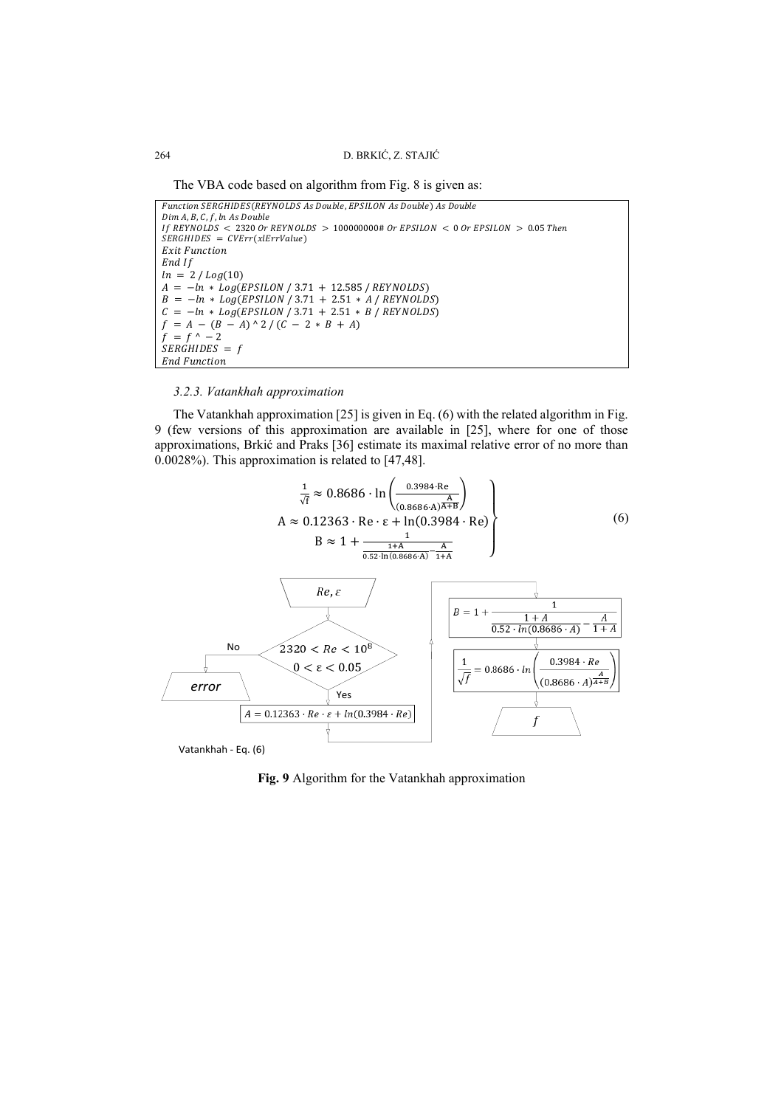The VBA code based on algorithm from Fig. 8 is given as:

```
Function SERGHIDES(REYNOLDS As Double, EPSILON As Double) As Double
Dim A, B, C, f, ln\ As\ DoubleIf REYNOLDS < 2320 Or REYNOLDS > 100000000# Or EPSILON < 0 Or EPSILON > 0.05 Then
SERGHIDES = CVErr(xIErrValue)Exit Function
End If
ln = 2 / Log(10)A = -\ln * Log(EPSILON / 3.71 + 12.585 / REVNOLDS)B = -ln * Log(EPSILON / 3.71 + 2.51 * A/REYNOLDS)C = -\ln * Log(EPSILON / 3.71 + 2.51 * B / REYNOLDS)f = A - (B - A)^{ \wedge } 2 / (C - 2 * B + A)f = f^{\wedge} - 2SERGHIDES = fEnd Function
```
# *3.2.3. Vatankhah approximation*

The Vatankhah approximation [25] is given in Eq. (6) with the related algorithm in Fig. 9 (few versions of this approximation are available in [25], where for one of those approximations, Brkić and Praks [36] estimate its maximal relative error of no more than 0.0028%). This approximation is related to [47,48].



**Fig. 9** Algorithm for the Vatankhah approximation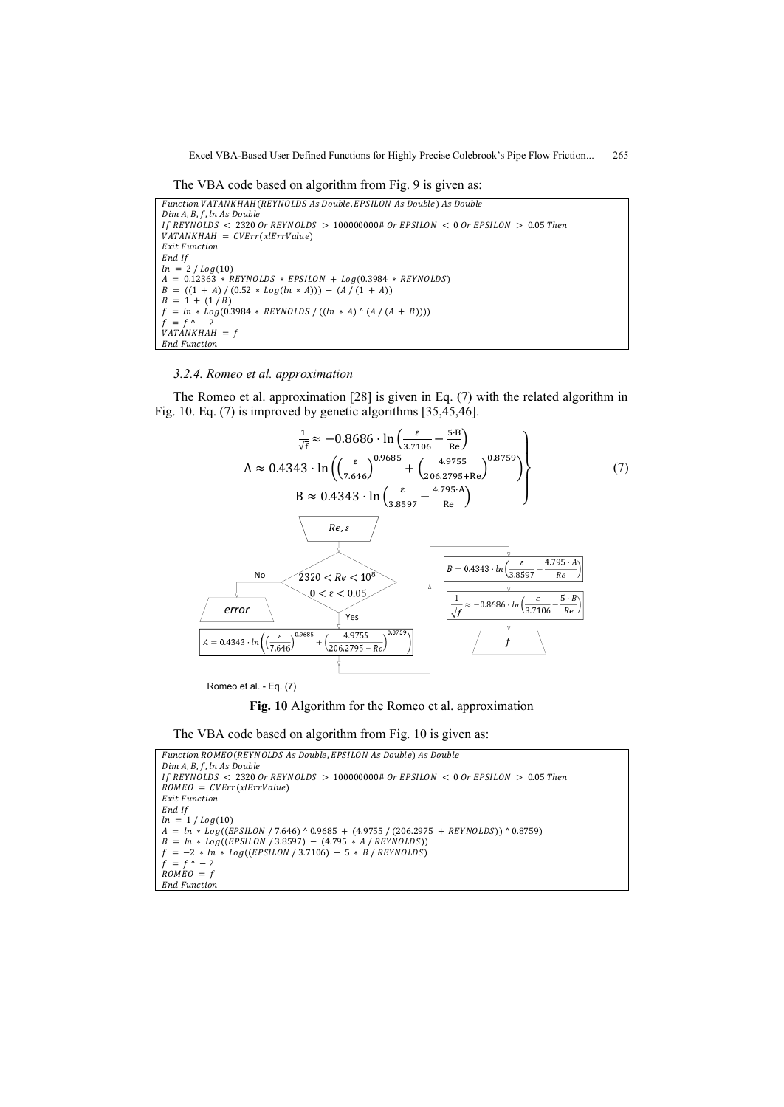The VBA code based on algorithm from Fig. 9 is given as:

Function VATANKHAH (REYNOLDS As Double, EPSILON As Double) As Double Dim A, B, f, ln As Double If REYNOLDS  $\langle$  2320 Or REYNOLDS  $> 100000000#$  Or EPSILON  $\langle$  0 Or EPSILON  $> 0.05$  Then  $VATANKHAH = CVErr(xIErrValue)$ Exit Function End If  $ln = 2 / Log(10)$  $A = 0.12363 * REYNOLDS * EPSILON + Log(0.3984 * REYNOLDS)$  $B = ((1 + A)/(0.52 * Log(ln * A))) - (A/(1 + A))$  $B = 1 + (1 / B)$  $f = ln * log(0.3984 * REVNOLDS / ((ln * A)^(A / (A + B))))$  $f = f^{\wedge} - 2$  $VATÁNKHAH = f$ End Function

#### *3.2.4. Romeo et al. approximation*

The Romeo et al. approximation [28] is given in Eq. (7) with the related algorithm in Fig. 10. Eq. (7) is improved by genetic algorithms [35,45,46].



Romeo et al. - Eq. (7)

**Fig. 10** Algorithm for the Romeo et al. approximation

The VBA code based on algorithm from Fig. 10 is given as:

```
Function ROMEO(REYNOLDS As Double, EPSILON As Double) As Double
```

```
Dim A, B , f , ln As Double
If REYNOLDS < 2320 Or REYNOLDS > 100000000# Or EPSILON < 0.05 Then
ROMEO = CVErr(xlErrValue)Exit Function
End If<br>\ln = 1 / Log(10)ln = 1 / Log(10)A = ln * Log((EPSILON / 7.646) ^ 0.9685 + (4.9755 / (206.2975 + KEYNOLDS)) ^ 0.8759)B = \ln * Log((EPSILON / 3.8597) - (4.795 * A / REVNOLDS))f = -2 * ln * Log((EPSILON / 3.7106) - 5 * B / REVNOLDS)f = f^{\wedge} - 2ROMEO = fEnd Function
```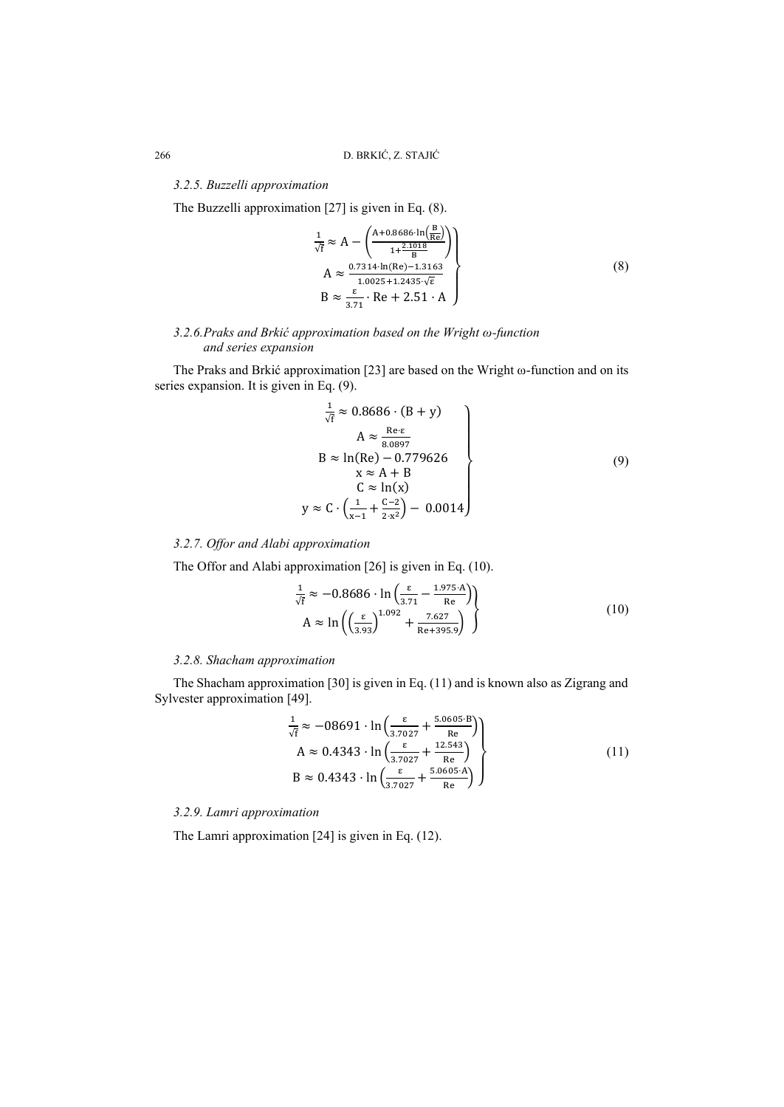# *3.2.5. Buzzelli approximation*

The Buzzelli approximation [27] is given in Eq. (8).

$$
\frac{1}{\sqrt{f}} \approx A - \left( \frac{A + 0.8686 \cdot \ln\left(\frac{B}{Re}\right)}{1 + \frac{2.1018}{B}} \right)
$$
\n
$$
A \approx \frac{0.7314 \cdot \ln(Re) - 1.3163}{1.0025 + 1.2435 \cdot \sqrt{E}}
$$
\n
$$
B \approx \frac{\varepsilon}{3.71} \cdot Re + 2.51 \cdot A
$$
\n(8)

# *3.2.6. Praks and Brkić approximation based on the Wright ω-function and series expansion*

The Praks and Brkić approximation [23] are based on the Wright ω-function and on its series expansion. It is given in Eq. (9).

$$
\frac{1}{\sqrt{f}} \approx 0.8686 \cdot (B + y)
$$
\n
$$
A \approx \frac{Re \cdot \varepsilon}{8.0897}
$$
\n
$$
B \approx \ln(Re) - 0.779626
$$
\n
$$
x \approx A + B
$$
\n
$$
C \approx \ln(x)
$$
\n
$$
\approx C \cdot \left(\frac{1}{x-1} + \frac{C-2}{2 \cdot x^2}\right) - 0.0014
$$
\n(9)

# *3.2.7. Offor and Alabi approximation*

The Offor and Alabi approximation [26] is given in Eq. (10).

 $\mathbf{y}$ 

$$
\frac{1}{\sqrt{f}} \approx -0.8686 \cdot \ln\left(\frac{\varepsilon}{3.71} - \frac{1.975 \cdot A}{Re}\right)
$$
\n
$$
A \approx \ln\left(\left(\frac{\varepsilon}{3.93}\right)^{1.092} + \frac{7.627}{Re + 395.9}\right)
$$
\n(10)

## *3.2.8. Shacham approximation*

The Shacham approximation [30] is given in Eq. (11) and is known also as Zigrang and Sylvester approximation [49].

$$
\frac{1}{\sqrt{f}} \approx -08691 \cdot \ln \left( \frac{\varepsilon}{3.7027} + \frac{5.0605 \cdot B}{Re} \right)
$$
  
\n
$$
A \approx 0.4343 \cdot \ln \left( \frac{\varepsilon}{3.7027} + \frac{12.543}{Re} \right)
$$
  
\n
$$
B \approx 0.4343 \cdot \ln \left( \frac{\varepsilon}{3.7027} + \frac{5.0605 \cdot A}{Re} \right)
$$
\n(11)

# *3.2.9. Lamri approximation*

The Lamri approximation [24] is given in Eq. (12).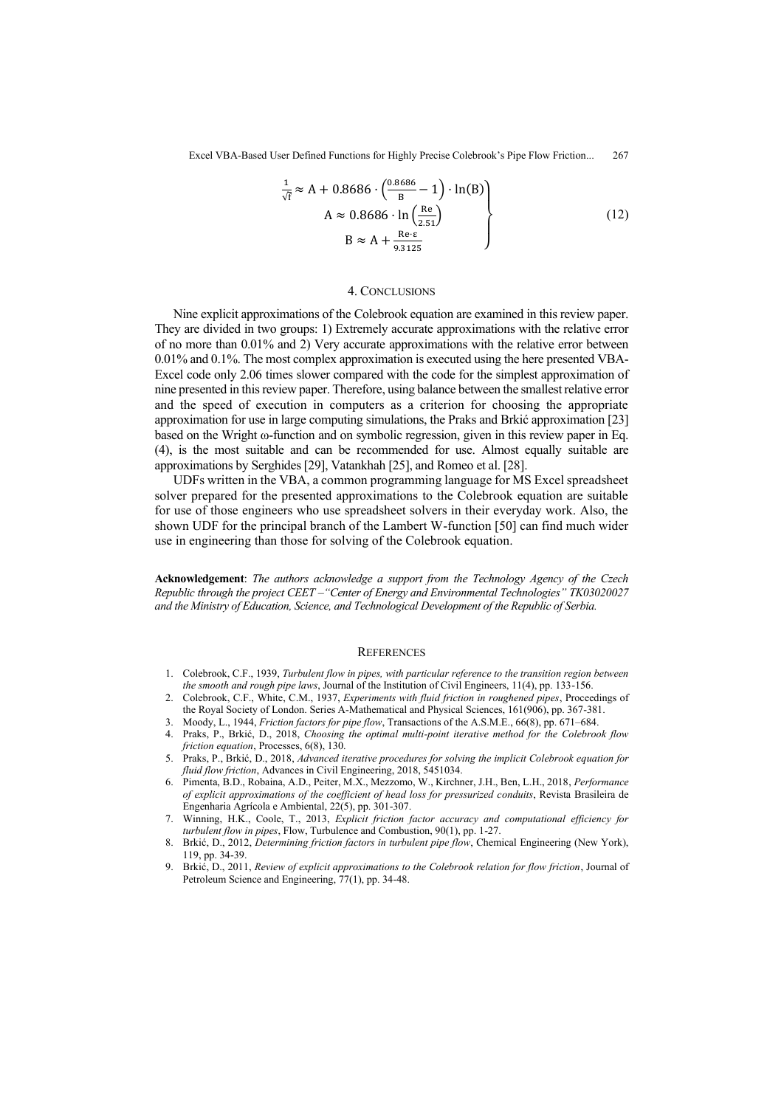$$
\frac{1}{\sqrt{f}} \approx A + 0.8686 \cdot \left(\frac{0.8686}{B} - 1\right) \cdot \ln(B)
$$
\n
$$
A \approx 0.8686 \cdot \ln\left(\frac{Re}{2.51}\right)
$$
\n
$$
B \approx A + \frac{Re \cdot \varepsilon}{9.3125}
$$
\n(12)

#### 4. CONCLUSIONS

Nine explicit approximations of the Colebrook equation are examined in this review paper. They are divided in two groups: 1) Extremely accurate approximations with the relative error of no more than 0.01% and 2) Very accurate approximations with the relative error between 0.01% and 0.1%. The most complex approximation is executed using the here presented VBA-Excel code only 2.06 times slower compared with the code for the simplest approximation of nine presented in this review paper. Therefore, using balance between the smallest relative error and the speed of execution in computers as a criterion for choosing the appropriate approximation for use in large computing simulations, the Praks and Brkić approximation [23] based on the Wright ω-function and on symbolic regression, given in this review paper in Eq. (4), is the most suitable and can be recommended for use. Almost equally suitable are approximations by Serghides [29], Vatankhah [25], and Romeo et al. [28].

UDFs written in the VBA, a common programming language for MS Excel spreadsheet solver prepared for the presented approximations to the Colebrook equation are suitable for use of those engineers who use spreadsheet solvers in their everyday work. Also, the shown UDF for the principal branch of the Lambert W-function [50] can find much wider use in engineering than those for solving of the Colebrook equation.

**Acknowledgement**: *The authors acknowledge a support from the Technology Agency of the Czech Republic through the project CEET –"Center of Energy and Environmental Technologies" TK03020027 and the Ministry of Education, Science, and Technological Development of the Republic of Serbia.* 

#### **REFERENCES**

- 1. Colebrook, C.F., 1939, *Turbulent flow in pipes, with particular reference to the transition region between the smooth and rough pipe laws*, Journal of the Institution of Civil Engineers, 11(4), pp. 133-156.
- 2. Colebrook, C.F., White, C.M., 1937, *Experiments with fluid friction in roughened pipes*, Proceedings of the Royal Society of London. Series A-Mathematical and Physical Sciences, 161(906), pp. 367-381.
- 3. Moody, L., 1944, *Friction factors for pipe flow*, Transactions of the A.S.M.E., 66(8), pp. 671–684.
- 4. Praks, P., Brkić, D., 2018, *Choosing the optimal multi-point iterative method for the Colebrook flow friction equation*, Processes, 6(8), 130.
- 5. Praks, P., Brkić, D., 2018, *Advanced iterative procedures for solving the implicit Colebrook equation for fluid flow friction*, Advances in Civil Engineering, 2018, 5451034.
- 6. Pimenta, B.D., Robaina, A.D., Peiter, M.X., Mezzomo, W., Kirchner, J.H., Ben, L.H., 2018, *Performance of explicit approximations of the coefficient of head loss for pressurized conduits*, Revista Brasileira de Engenharia Agrícola e Ambiental, 22(5), pp. 301-307.
- 7. Winning, H.K., Coole, T., 2013, *Explicit friction factor accuracy and computational efficiency for turbulent flow in pipes*, Flow, Turbulence and Combustion, 90(1), pp. 1-27.
- 8. Brkić, D., 2012, *Determining friction factors in turbulent pipe flow*, Chemical Engineering (New York), 119, pp. 34-39.
- 9. Brkić, D., 2011, *Review of explicit approximations to the Colebrook relation for flow friction*, Journal of Petroleum Science and Engineering, 77(1), pp. 34-48.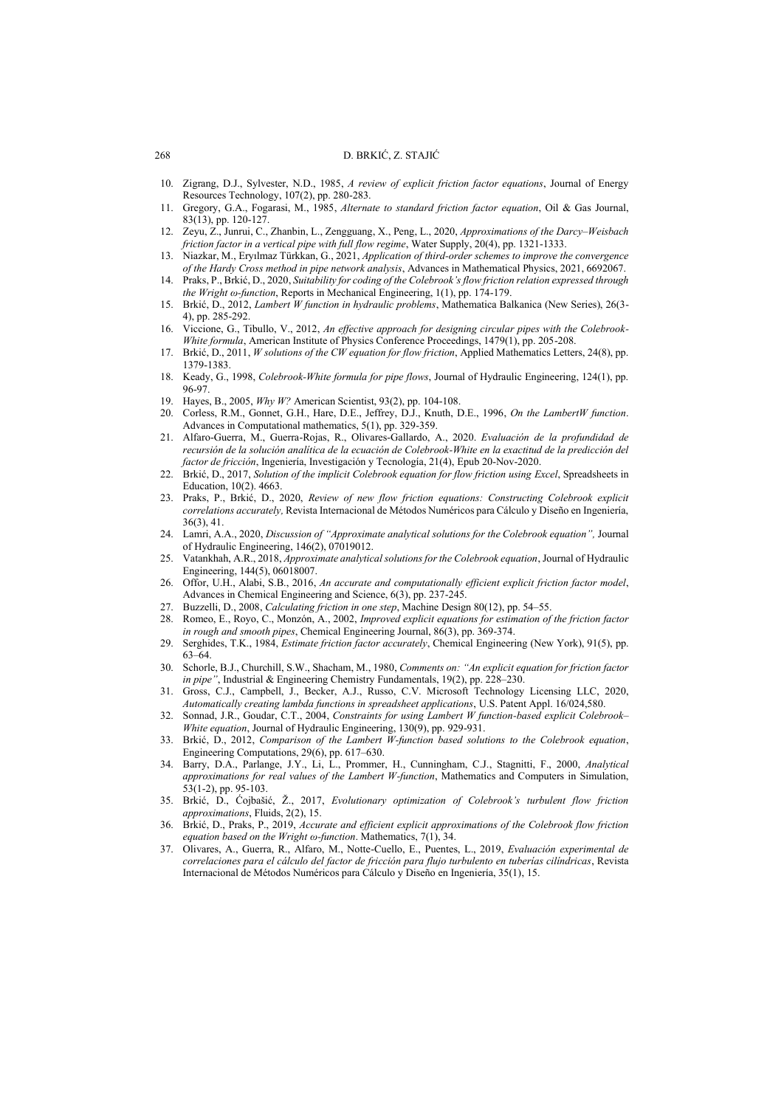#### 268 D. BRKIĆ, Z. STAJIĆ

- 10. Zigrang, D.J., Sylvester, N.D., 1985, *A review of explicit friction factor equations*, Journal of Energy Resources Technology, 107(2), pp. 280-283.
- 11. Gregory, G.A., Fogarasi, M., 1985, *Alternate to standard friction factor equation*, Oil & Gas Journal, 83(13), pp. 120-127.
- 12. Zeyu, Z., Junrui, C., Zhanbin, L., Zengguang, X., Peng, L., 2020, *Approximations of the Darcy–Weisbach friction factor in a vertical pipe with full flow regime*, Water Supply, 20(4), pp. 1321-1333.
- 13. Niazkar, M., Eryılmaz Türkkan, G., 2021, *Application of third-order schemes to improve the convergence of the Hardy Cross method in pipe network analysis*, Advances in Mathematical Physics, 2021, 6692067.
- 14. Praks, P., Brkić, D., 2020, *Suitability for coding of the Colebrook's flow friction relation expressed through the Wright ω-function*, Reports in Mechanical Engineering, 1(1), pp. 174-179.
- 15. Brkić, D., 2012, *Lambert W function in hydraulic problems*, Mathematica Balkanica (New Series), 26(3- 4), pp. 285-292.
- 16. Viccione, G., Tibullo, V., 2012, *An effective approach for designing circular pipes with the Colebrook-White formula*, American Institute of Physics Conference Proceedings, 1479(1), pp. 205-208.
- 17. Brkić, D., 2011, *W solutions of the CW equation for flow friction*, Applied Mathematics Letters, 24(8), pp. 1379-1383.
- 18. Keady, G., 1998, *Colebrook-White formula for pipe flows*, Journal of Hydraulic Engineering, 124(1), pp. 96-97.
- 19. Hayes, B., 2005, *Why W?* American Scientist, 93(2), pp. 104-108.
- 20. Corless, R.M., Gonnet, G.H., Hare, D.E., Jeffrey, D.J., Knuth, D.E., 1996, *On the LambertW function*. Advances in Computational mathematics, 5(1), pp. 329-359.
- 21. Alfaro-Guerra, M., Guerra-Rojas, R., Olivares-Gallardo, A., 2020. *Evaluación de la profundidad de recursión de la solución analítica de la ecuación de Colebrook-White en la exactitud de la predicción del factor de fricción*, Ingeniería, Investigación y Tecnología, 21(4), Epub 20-Nov-2020.
- 22. Brkić, D., 2017, *Solution of the implicit Colebrook equation for flow friction using Excel*, Spreadsheets in Education, 10(2). 4663.
- 23. Praks, P., Brkić, D., 2020, *Review of new flow friction equations: Constructing Colebrook explicit correlations accurately,* Revista Internacional de Métodos Numéricos para Cálculo y Diseño en Ingeniería, 36(3), 41.
- 24. Lamri, A.A., 2020, *Discussion of "Approximate analytical solutions for the Colebrook equation",* Journal of Hydraulic Engineering, 146(2), 07019012.
- 25. Vatankhah, A.R., 2018, *Approximate analytical solutions for the Colebrook equation*, Journal of Hydraulic Engineering, 144(5), 06018007.
- 26. Offor, U.H., Alabi, S.B., 2016, *An accurate and computationally efficient explicit friction factor model*, Advances in Chemical Engineering and Science, 6(3), pp. 237-245.
- 27. Buzzelli, D., 2008, *Calculating friction in one step*, Machine Design 80(12), pp. 54–55.
- 28. Romeo, E., Royo, C., Monzón, A., 2002, *Improved explicit equations for estimation of the friction factor in rough and smooth pipes*, Chemical Engineering Journal, 86(3), pp. 369-374.
- 29. Serghides, T.K., 1984, *Estimate friction factor accurately*, Chemical Engineering (New York), 91(5), pp. 63–64.
- 30. Schorle, B.J., Churchill, S.W., Shacham, M., 1980, *Comments on: "An explicit equation for friction factor in pipe"*, Industrial & Engineering Chemistry Fundamentals, 19(2), pp. 228-230.
- 31. Gross, C.J., Campbell, J., Becker, A.J., Russo, C.V. Microsoft Technology Licensing LLC, 2020, *Automatically creating lambda functions in spreadsheet applications*, U.S. Patent Appl. 16/024,580.
- 32. Sonnad, J.R., Goudar, C.T., 2004, *Constraints for using Lambert W function-based explicit Colebrook– White equation*, Journal of Hydraulic Engineering, 130(9), pp. 929-931.
- 33. Brkić, D., 2012, *Comparison of the Lambert W‐function based solutions to the Colebrook equation*, Engineering Computations, 29(6), pp. 617–630.
- 34. Barry, D.A., Parlange, J.Y., Li, L., Prommer, H., Cunningham, C.J., Stagnitti, F., 2000, *Analytical approximations for real values of the Lambert W-function*, Mathematics and Computers in Simulation, 53(1-2), pp. 95-103.
- 35. Brkić, D., Ćojbašić, Ž., 2017, *Evolutionary optimization of Colebrook's turbulent flow friction approximations*, Fluids, 2(2), 15.
- 36. Brkić, D., Praks, P., 2019, *Accurate and efficient explicit approximations of the Colebrook flow friction equation based on the Wright ω-function*. Mathematics, 7(1), 34.
- 37. Olivares, A., Guerra, R., Alfaro, M., Notte-Cuello, E., Puentes, L., 2019, *Evaluación experimental de correlaciones para el cálculo del factor de fricción para flujo turbulento en tuberías cilíndricas*, Revista Internacional de Métodos Numéricos para Cálculo y Diseño en Ingeniería, 35(1), 15.